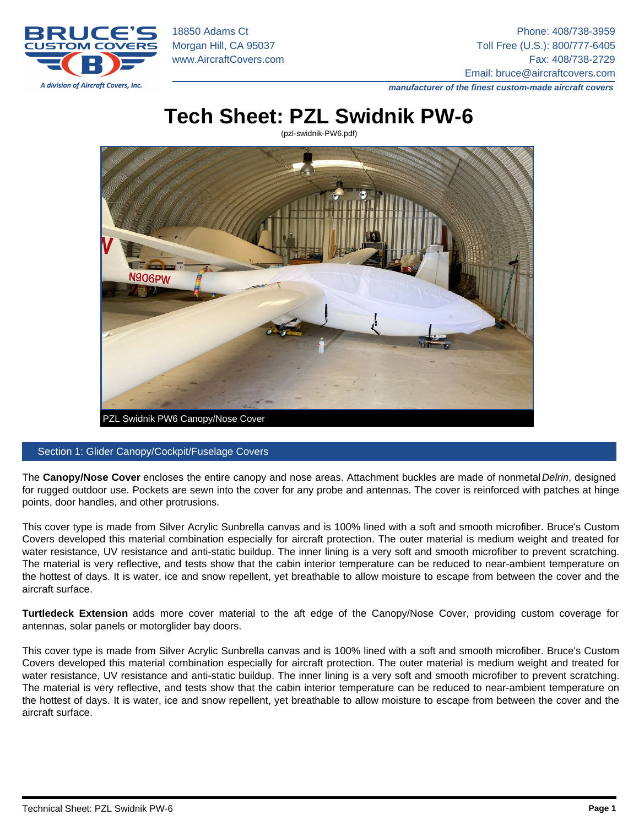18850 Adams Ct Phone: 408/738-3959 Morgan Hill, CA 95037 Toll Free (U.S.): 800/777-6405 [www.AircraftCovers.com](https://www.aircraftcovers.com) example and the state of the state of the Fax: 408/738-2729 Email: [bruce@aircraftcovers.com](mailto:bruce@aircraftcovers.com)

manufacturer of the finest custom-made aircraft covers

# Tech Sheet: PZL Swidnik PW-6

(pzl-swidnik-PW6.pdf)



#### Section 1: Glider Canopy/Cockpit/Fuselage Covers

The Canopy/Nose Cover encloses the entire canopy and nose areas. Attachment buckles are made of nonmetal Delrin, designed for rugged outdoor use. Pockets are sewn into the cover for any probe and antennas. The cover is reinforced with patches at hinge points, door handles, and other protrusions.

This cover type is made from Silver Acrylic Sunbrella canvas and is 100% lined with a soft and smooth microfiber. Bruce's Custom Covers developed this material combination especially for aircraft protection. The outer material is medium weight and treated for water resistance, UV resistance and anti-static buildup. The inner lining is a very soft and smooth microfiber to prevent scratching. The material is very reflective, and tests show that the cabin interior temperature can be reduced to near-ambient temperature on the hottest of days. It is water, ice and snow repellent, yet breathable to allow moisture to escape from between the cover and the aircraft surface.

Turtledeck Extension adds more cover material to the aft edge of the Canopy/Nose Cover, providing custom coverage for antennas, solar panels or motorglider bay doors.

This cover type is made from Silver Acrylic Sunbrella canvas and is 100% lined with a soft and smooth microfiber. Bruce's Custom Covers developed this material combination especially for aircraft protection. The outer material is medium weight and treated for water resistance, UV resistance and anti-static buildup. The inner lining is a very soft and smooth microfiber to prevent scratching. The material is very reflective, and tests show that the cabin interior temperature can be reduced to near-ambient temperature on the hottest of days. It is water, ice and snow repellent, yet breathable to allow moisture to escape from between the cover and the aircraft surface.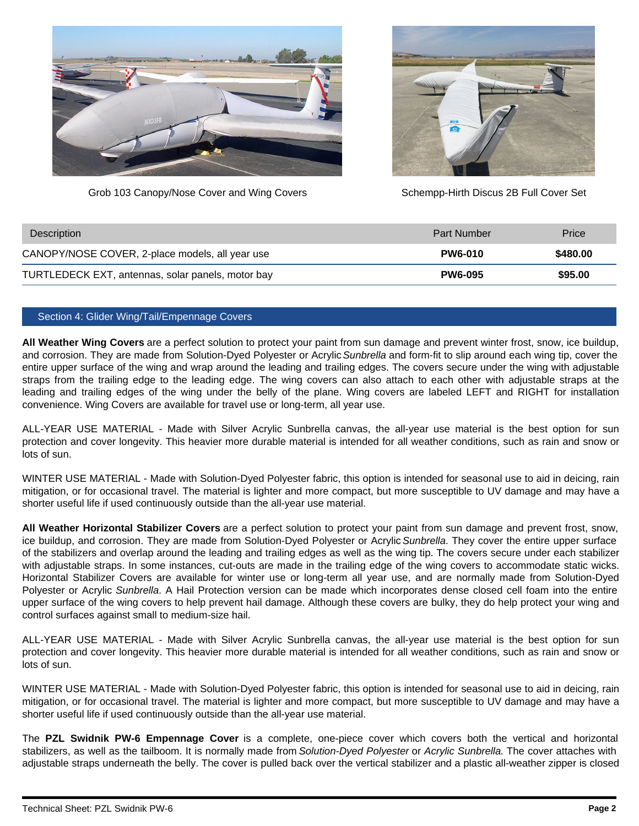



Grob 103 Canopy/Nose Cover and Wing Covers Schempp-Hirth Discus 2B Full Cover Set

| Description                                       | <b>Part Number</b> | Price    |
|---------------------------------------------------|--------------------|----------|
| CANOPY/NOSE COVER, 2-place models, all year use   | <b>PW6-010</b>     | \$480.00 |
| TURTLEDECK EXT, antennas, solar panels, motor bay | <b>PW6-095</b>     | \$95.00  |

#### Section 4: Glider Wing/Tail/Empennage Covers

**All Weather Wing Covers** are a perfect solution to protect your paint from sun damage and prevent winter frost, snow, ice buildup, and corrosion. They are made from Solution-Dyed Polyester or Acrylic Sunbrella and form-fit to slip around each wing tip, cover the entire upper surface of the wing and wrap around the leading and trailing edges. The covers secure under the wing with adjustable straps from the trailing edge to the leading edge. The wing covers can also attach to each other with adjustable straps at the leading and trailing edges of the wing under the belly of the plane. Wing covers are labeled LEFT and RIGHT for installation convenience. Wing Covers are available for travel use or long-term, all year use.

ALL-YEAR USE MATERIAL - Made with Silver Acrylic Sunbrella canvas, the all-year use material is the best option for sun protection and cover longevity. This heavier more durable material is intended for all weather conditions, such as rain and snow or lots of sun.

WINTER USE MATERIAL - Made with Solution-Dyed Polyester fabric, this option is intended for seasonal use to aid in deicing, rain mitigation, or for occasional travel. The material is lighter and more compact, but more susceptible to UV damage and may have a shorter useful life if used continuously outside than the all-year use material.

**All Weather Horizontal Stabilizer Covers** are a perfect solution to protect your paint from sun damage and prevent frost, snow, ice buildup, and corrosion. They are made from Solution-Dyed Polyester or Acrylic Sunbrella. They cover the entire upper surface of the stabilizers and overlap around the leading and trailing edges as well as the wing tip. The covers secure under each stabilizer with adjustable straps. In some instances, cut-outs are made in the trailing edge of the wing covers to accommodate static wicks. Horizontal Stabilizer Covers are available for winter use or long-term all year use, and are normally made from Solution-Dyed Polyester or Acrylic Sunbrella. A Hail Protection version can be made which incorporates dense closed cell foam into the entire upper surface of the wing covers to help prevent hail damage. Although these covers are bulky, they do help protect your wing and control surfaces against small to medium-size hail.

ALL-YEAR USE MATERIAL - Made with Silver Acrylic Sunbrella canvas, the all-year use material is the best option for sun protection and cover longevity. This heavier more durable material is intended for all weather conditions, such as rain and snow or lots of sun.

WINTER USE MATERIAL - Made with Solution-Dyed Polyester fabric, this option is intended for seasonal use to aid in deicing, rain mitigation, or for occasional travel. The material is lighter and more compact, but more susceptible to UV damage and may have a shorter useful life if used continuously outside than the all-year use material.

The **PZL Swidnik PW-6 Empennage Cover** is a complete, one-piece cover which covers both the vertical and horizontal stabilizers, as well as the tailboom. It is normally made from Solution-Dyed Polyester or Acrylic Sunbrella. The cover attaches with adjustable straps underneath the belly. The cover is pulled back over the vertical stabilizer and a plastic all-weather zipper is closed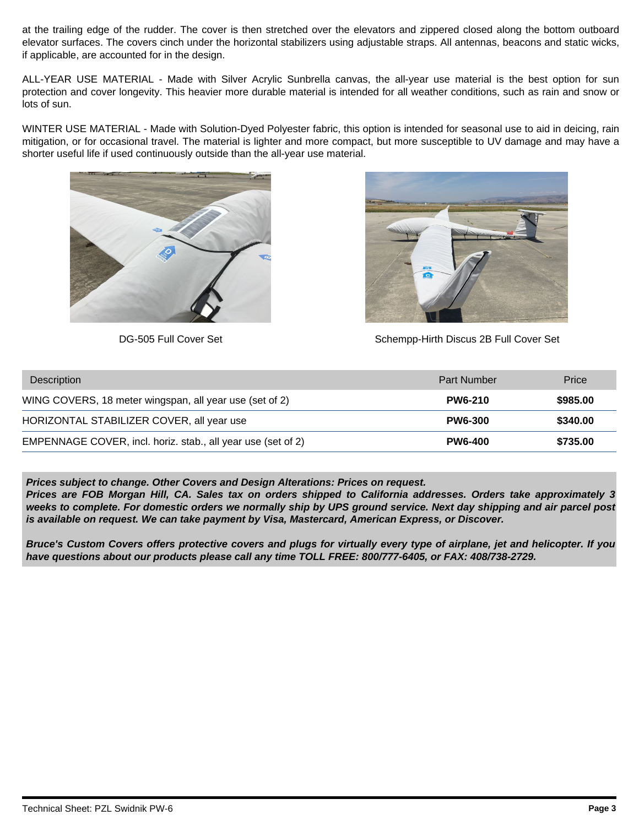at the trailing edge of the rudder. The cover is then stretched over the elevators and zippered closed along the bottom outboard elevator surfaces. The covers cinch under the horizontal stabilizers using adjustable straps. All antennas, beacons and static wicks, if applicable, are accounted for in the design.

ALL-YEAR USE MATERIAL - Made with Silver Acrylic Sunbrella canvas, the all-year use material is the best option for sun protection and cover longevity. This heavier more durable material is intended for all weather conditions, such as rain and snow or lots of sun.

WINTER USE MATERIAL - Made with Solution-Dyed Polyester fabric, this option is intended for seasonal use to aid in deicing, rain mitigation, or for occasional travel. The material is lighter and more compact, but more susceptible to UV damage and may have a shorter useful life if used continuously outside than the all-year use material.





DG-505 Full Cover Set Schempp-Hirth Discus 2B Full Cover Set

| <b>Description</b>                                           | <b>Part Number</b> | Price    |
|--------------------------------------------------------------|--------------------|----------|
| WING COVERS, 18 meter wingspan, all year use (set of 2)      | <b>PW6-210</b>     | \$985.00 |
| HORIZONTAL STABILIZER COVER, all year use                    | <b>PW6-300</b>     | \$340.00 |
| EMPENNAGE COVER, incl. horiz. stab., all year use (set of 2) | <b>PW6-400</b>     | \$735.00 |

**Prices subject to change. Other Covers and Design Alterations: Prices on request.**

**Prices are FOB Morgan Hill, CA. Sales tax on orders shipped to California addresses. Orders take approximately 3 weeks to complete. For domestic orders we normally ship by UPS ground service. Next day shipping and air parcel post is available on request. We can take payment by Visa, Mastercard, American Express, or Discover.** 

**Bruce's Custom Covers offers protective covers and plugs for virtually every type of airplane, jet and helicopter. If you have questions about our products please call any time TOLL FREE: 800/777-6405, or FAX: 408/738-2729.**